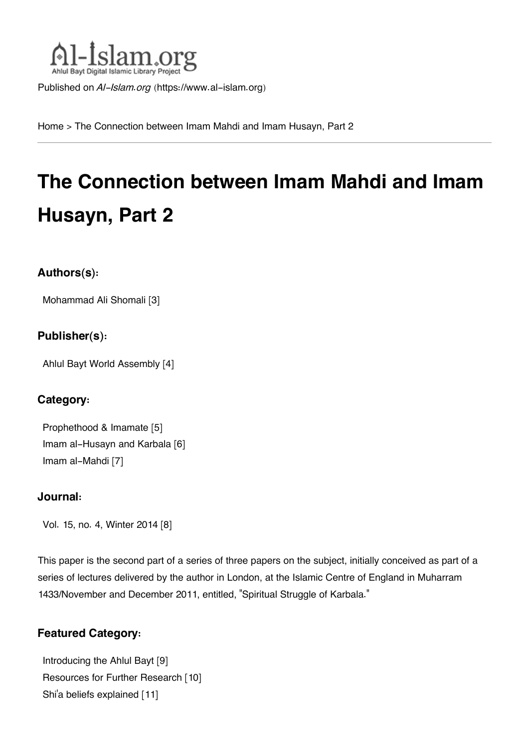

Published on *Al-Islam.org* ([https://www.al-islam.org\)](https://www.al-islam.org)

[Home](https://www.al-islam.org/) > The Connection between Imam Mahdi and Imam Husayn, Part 2

# **The Connection between Imam Mahdi and Imam Husayn, Part 2**

## **Authors(s):**

[Mohammad Ali Shomali](https://www.al-islam.org/person/mohammad-ali-shomali) [3]

## **Publisher(s):**

[Ahlul Bayt World Assembly](https://www.al-islam.org/organization/ahlul-bayt-world-assembly) [4]

## **Category:**

[Prophethood & Imamate](https://www.al-islam.org/library/prophethood-imamate) [5] [Imam al-Husayn and Karbala](https://www.al-islam.org/library/imam-al-husayn-and-karbala) [6] [Imam al-Mahdi](https://www.al-islam.org/library/imam-al-mahdi) [7]

### **Journal:**

[Vol. 15, no. 4, Winter 2014](https://www.al-islam.org/journals/vol-15-no-4-winter-2014) [8]

This paper is the second part of a series of three papers on the subject, initially conceived as part of a series of lectures delivered by the author in London, at the Islamic Centre of England in Muharram 1433/November and December 2011, entitled, "Spiritual Struggle of Karbala."

## **Featured Category:**

[Introducing the Ahlul Bayt](https://www.al-islam.org/feature/introducing-ahlul-bayt) [9] [Resources for Further Research](https://www.al-islam.org/feature/resources-further-research) [10] Shi['a beliefs explained](https://www.al-islam.org/feature/shia-beliefs-explained) [11]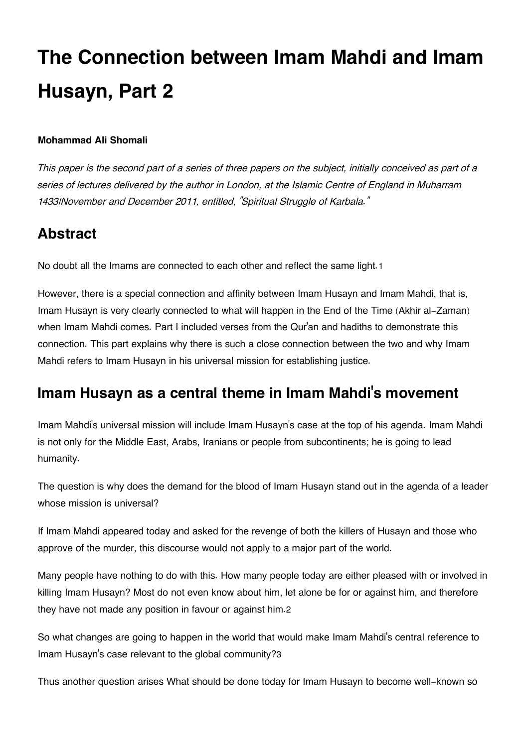# **The Connection between Imam Mahdi and Imam Husayn, Part 2**

#### **Mohammad Ali Shomali**

*This paper is the second part of a series of three papers on the subject, initially conceived as part of a series of lectures delivered by the author in London, at the Islamic Centre of England in Muharram 1433/November and December 2011, entitled, "Spiritual Struggle of Karbala."*

# <span id="page-1-0"></span>**[Abstract](#page-1-0)**

<span id="page-1-2"></span>No doubt all the Imams are connected to each other and reflect the same light.[1](#page-6-0)

However, there is a special connection and affinity between Imam Husayn and Imam Mahdi, that is, Imam Husayn is very clearly connected to what will happen in the End of the Time (Akhir al-Zaman) when Imam Mahdi comes. Part I included verses from the Qur'an and hadiths to demonstrate this connection. This part explains why there is such a close connection between the two and why Imam Mahdi refers to Imam Husayn in his universal mission for establishing justice.

# <span id="page-1-1"></span>**[Imam Husayn as a central theme in Imam Mahdi](#page-1-1)'s movement**

Imam Mahdi's universal mission will include Imam Husayn's case at the top of his agenda. Imam Mahdi is not only for the Middle East, Arabs, Iranians or people from subcontinents; he is going to lead humanity.

The question is why does the demand for the blood of Imam Husayn stand out in the agenda of a leader whose mission is universal?

If Imam Mahdi appeared today and asked for the revenge of both the killers of Husayn and those who approve of the murder, this discourse would not apply to a major part of the world.

<span id="page-1-3"></span>Many people have nothing to do with this. How many people today are either pleased with or involved in killing Imam Husayn? Most do not even know about him, let alone be for or against him, and therefore they have not made any position in favour or against him.[2](#page-6-1)

<span id="page-1-4"></span>So what changes are going to happen in the world that would make Imam Mahdi's central reference to Imam Husayn's case relevant to the global community?[3](#page-6-2)

Thus another question arises What should be done today for Imam Husayn to become well-known so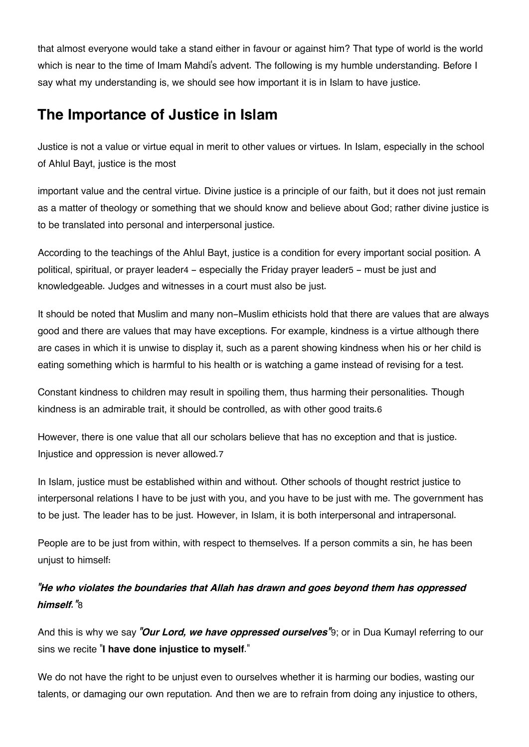that almost everyone would take a stand either in favour or against him? That type of world is the world which is near to the time of Imam Mahdi's advent. The following is my humble understanding. Before I say what my understanding is, we should see how important it is in Islam to have justice.

# <span id="page-2-0"></span>**[The Importance of Justice in Islam](#page-2-0)**

Justice is not a value or virtue equal in merit to other values or virtues. In Islam, especially in the school of Ahlul Bayt, justice is the most

important value and the central virtue. Divine justice is a principle of our faith, but it does not just remain as a matter of theology or something that we should know and believe about God; rather divine justice is to be translated into personal and interpersonal justice.

<span id="page-2-1"></span>According to the teachings of the Ahlul Bayt, justice is a condition for every important social position. A political, spiritual, or prayer leader[4](#page-7-0) - especially the Friday prayer leader[5](#page-7-1) - must be just and knowledgeable. Judges and witnesses in a court must also be just.

It should be noted that Muslim and many non-Muslim ethicists hold that there are values that are always good and there are values that may have exceptions. For example, kindness is a virtue although there are cases in which it is unwise to display it, such as a parent showing kindness when his or her child is eating something which is harmful to his health or is watching a game instead of revising for a test.

<span id="page-2-2"></span>Constant kindness to children may result in spoiling them, thus harming their personalities. Though kindness is an admirable trait, it should be controlled, as with other good traits.[6](#page-7-2)

<span id="page-2-3"></span>However, there is one value that all our scholars believe that has no exception and that is justice. Injustice and oppression is never allowed.[7](#page-7-3)

In Islam, justice must be established within and without. Other schools of thought restrict justice to interpersonal relations I have to be just with you, and you have to be just with me. The government has to be just. The leader has to be just. However, in Islam, it is both interpersonal and intrapersonal.

People are to be just from within, with respect to themselves. If a person commits a sin, he has been unjust to himself:

## <span id="page-2-4"></span>*"He who violates the boundaries that Allah has drawn and goes beyond them has oppressed himself."*[8](#page-7-4)

<span id="page-2-5"></span>And this is why we say *"Our Lord, we have oppressed ourselves"*[9](#page-7-5); or in Dua Kumayl referring to our sins we recite "**I have done injustice to myself**."

We do not have the right to be unjust even to ourselves whether it is harming our bodies, wasting our talents, or damaging our own reputation. And then we are to refrain from doing any injustice to others,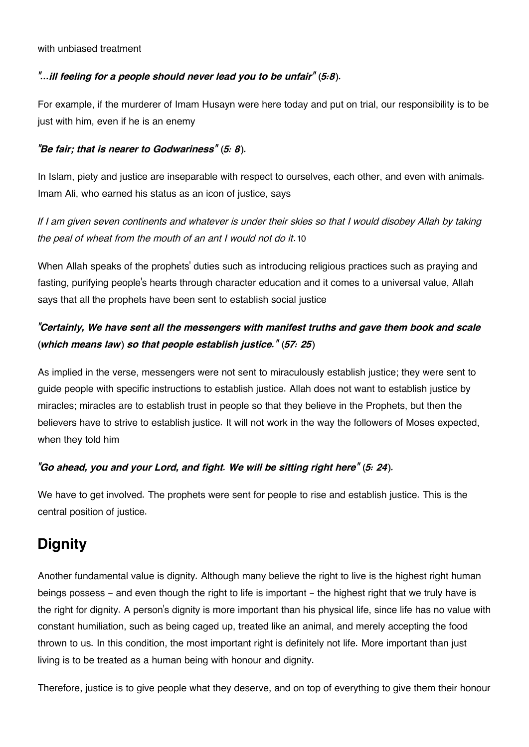#### with unbiased treatment

#### *"…ill feeling for a people should never lead you to be unfair" (5:8).*

For example, if the murderer of Imam Husayn were here today and put on trial, our responsibility is to be just with him, even if he is an enemy

#### *"Be fair; that is nearer to Godwariness" (5: 8).*

In Islam, piety and justice are inseparable with respect to ourselves, each other, and even with animals. Imam Ali, who earned his status as an icon of justice, says

<span id="page-3-1"></span>*If I am given seven continents and whatever is under their skies so that I would disobey Allah by taking the peal of wheat from the mouth of an ant I would not do it*.[10](#page-7-6)

When Allah speaks of the prophets' duties such as introducing religious practices such as praying and fasting, purifying people's hearts through character education and it comes to a universal value, Allah says that all the prophets have been sent to establish social justice

## *"Certainly, We have sent all the messengers with manifest truths and gave them book and scale (which means law) so that people establish justice." (57: 25)*

As implied in the verse, messengers were not sent to miraculously establish justice; they were sent to guide people with specific instructions to establish justice. Allah does not want to establish justice by miracles; miracles are to establish trust in people so that they believe in the Prophets, but then the believers have to strive to establish justice. It will not work in the way the followers of Moses expected, when they told him

#### *"Go ahead, you and your Lord, and fight. We will be sitting right here" (5: 24).*

We have to get involved. The prophets were sent for people to rise and establish justice. This is the central position of justice.

## <span id="page-3-0"></span>**[Dignity](#page-3-0)**

Another fundamental value is dignity. Although many believe the right to live is the highest right human beings possess – and even though the right to life is important – the highest right that we truly have is the right for dignity. A person's dignity is more important than his physical life, since life has no value with constant humiliation, such as being caged up, treated like an animal, and merely accepting the food thrown to us. In this condition, the most important right is definitely not life. More important than just living is to be treated as a human being with honour and dignity.

Therefore, justice is to give people what they deserve, and on top of everything to give them their honour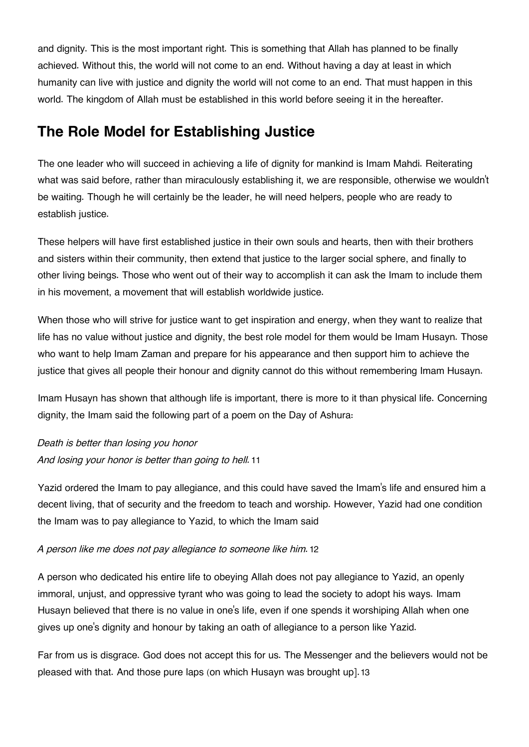and dignity. This is the most important right. This is something that Allah has planned to be finally achieved. Without this, the world will not come to an end. Without having a day at least in which humanity can live with justice and dignity the world will not come to an end. That must happen in this world. The kingdom of Allah must be established in this world before seeing it in the hereafter.

# <span id="page-4-0"></span>**[The Role Model for Establishing Justice](#page-4-0)**

The one leader who will succeed in achieving a life of dignity for mankind is Imam Mahdi. Reiterating what was said before, rather than miraculously establishing it, we are responsible, otherwise we wouldn't be waiting. Though he will certainly be the leader, he will need helpers, people who are ready to establish justice.

These helpers will have first established justice in their own souls and hearts, then with their brothers and sisters within their community, then extend that justice to the larger social sphere, and finally to other living beings. Those who went out of their way to accomplish it can ask the Imam to include them in his movement, a movement that will establish worldwide justice.

When those who will strive for justice want to get inspiration and energy, when they want to realize that life has no value without justice and dignity, the best role model for them would be Imam Husayn. Those who want to help Imam Zaman and prepare for his appearance and then support him to achieve the justice that gives all people their honour and dignity cannot do this without remembering Imam Husayn.

Imam Husayn has shown that although life is important, there is more to it than physical life. Concerning dignity, the Imam said the following part of a poem on the Day of Ashura:

<span id="page-4-2"></span>*Death is better than losing you honor And losing your honor is better than going to hell.*[11](#page-7-7)

Yazid ordered the Imam to pay allegiance, and this could have saved the Imam's life and ensured him a decent living, that of security and the freedom to teach and worship. However, Yazid had one condition the Imam was to pay allegiance to Yazid, to which the Imam said

#### <span id="page-4-3"></span>*A person like me does not pay allegiance to someone like him.*[12](#page-7-8)

A person who dedicated his entire life to obeying Allah does not pay allegiance to Yazid, an openly immoral, unjust, and oppressive tyrant who was going to lead the society to adopt his ways. Imam Husayn believed that there is no value in one's life, even if one spends it worshiping Allah when one gives up one's dignity and honour by taking an oath of allegiance to a person like Yazid.

<span id="page-4-4"></span><span id="page-4-1"></span>Far from us is disgrace. God does not accept this for us. The Messenger and the believers would not be pleased with that. And those pure laps (on which Husayn was brought up].[13](#page-7-9)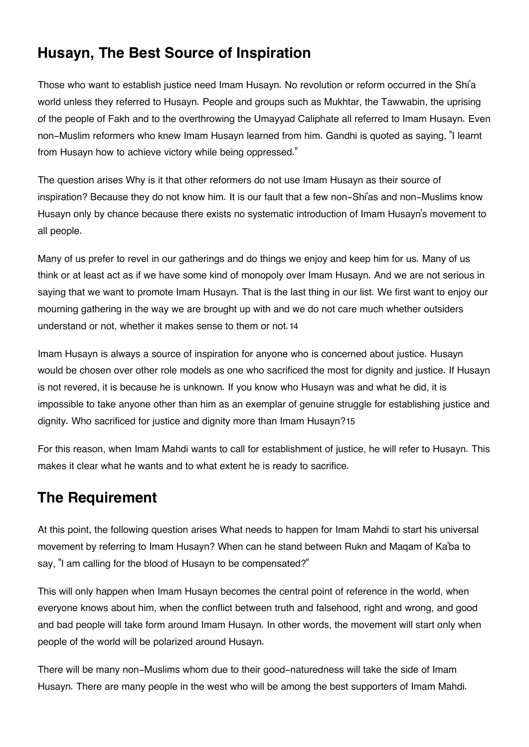# **[Husayn, The Best Source of Inspiration](#page-4-1)**

Those who want to establish justice need Imam Husayn. No revolution or reform occurred in the Shi'a world unless they referred to Husayn. People and groups such as Mukhtar, the Tawwabin, the uprising of the people of Fakh and to the overthrowing the Umayyad Caliphate all referred to Imam Husayn. Even non-Muslim reformers who knew Imam Husayn learned from him. Gandhi is quoted as saying, "I learnt from Husayn how to achieve victory while being oppressed."

The question arises Why is it that other reformers do not use Imam Husayn as their source of inspiration? Because they do not know him. It is our fault that a few non-Shi'as and non-Muslims know Husayn only by chance because there exists no systematic introduction of Imam Husayn's movement to all people.

Many of us prefer to revel in our gatherings and do things we enjoy and keep him for us. Many of us think or at least act as if we have some kind of monopoly over Imam Husayn. And we are not serious in saying that we want to promote Imam Husayn. That is the last thing in our list. We first want to enjoy our mourning gathering in the way we are brought up with and we do not care much whether outsiders understand or not, whether it makes sense to them or not.[14](#page-7-10)

<span id="page-5-1"></span>Imam Husayn is always a source of inspiration for anyone who is concerned about justice. Husayn would be chosen over other role models as one who sacrificed the most for dignity and justice. If Husayn is not revered, it is because he is unknown. If you know who Husayn was and what he did, it is impossible to take anyone other than him as an exemplar of genuine struggle for establishing justice and dignity. Who sacrificed for justice and dignity more than Imam Husayn?[15](#page-8-0)

<span id="page-5-2"></span>For this reason, when Imam Mahdi wants to call for establishment of justice, he will refer to Husayn. This makes it clear what he wants and to what extent he is ready to sacrifice.

# <span id="page-5-0"></span>**[The Requirement](#page-5-0)**

At this point, the following question arises What needs to happen for Imam Mahdi to start his universal movement by referring to Imam Husayn? When can he stand between Rukn and Maqam of Ka'ba to say, "I am calling for the blood of Husayn to be compensated?"

This will only happen when Imam Husayn becomes the central point of reference in the world, when everyone knows about him, when the conflict between truth and falsehood, right and wrong, and good and bad people will take form around Imam Husayn. In other words, the movement will start only when people of the world will be polarized around Husayn.

There will be many non-Muslims whom due to their good-naturedness will take the side of Imam Husayn. There are many people in the west who will be among the best supporters of Imam Mahdi.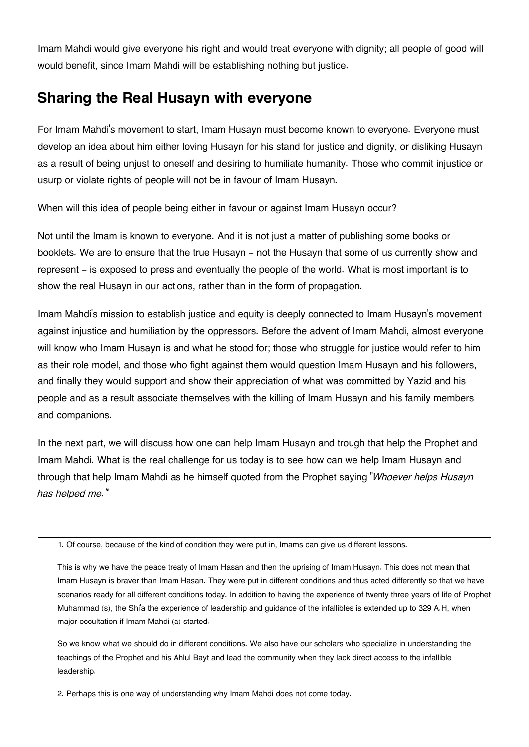Imam Mahdi would give everyone his right and would treat everyone with dignity; all people of good will would benefit, since Imam Mahdi will be establishing nothing but justice.

# <span id="page-6-3"></span>**[Sharing the Real Husayn with everyone](#page-6-3)**

For Imam Mahdi's movement to start, Imam Husayn must become known to everyone. Everyone must develop an idea about him either loving Husayn for his stand for justice and dignity, or disliking Husayn as a result of being unjust to oneself and desiring to humiliate humanity. Those who commit injustice or usurp or violate rights of people will not be in favour of Imam Husayn.

When will this idea of people being either in favour or against Imam Husayn occur?

Not until the Imam is known to everyone. And it is not just a matter of publishing some books or booklets. We are to ensure that the true Husayn - not the Husayn that some of us currently show and represent – is exposed to press and eventually the people of the world. What is most important is to show the real Husayn in our actions, rather than in the form of propagation.

Imam Mahdi's mission to establish justice and equity is deeply connected to Imam Husayn's movement against injustice and humiliation by the oppressors. Before the advent of Imam Mahdi, almost everyone will know who Imam Husayn is and what he stood for; those who struggle for justice would refer to him as their role model, and those who fight against them would question Imam Husayn and his followers, and finally they would support and show their appreciation of what was committed by Yazid and his people and as a result associate themselves with the killing of Imam Husayn and his family members and companions.

In the next part, we will discuss how one can help Imam Husayn and trough that help the Prophet and Imam Mahdi. What is the real challenge for us today is to see how can we help Imam Husayn and through that help Imam Mahdi as he himself quoted from the Prophet saying "*Whoever helps Husayn has helped me."*'

<span id="page-6-0"></span>[1.](#page-1-2) Of course, because of the kind of condition they were put in, Imams can give us different lessons.

This is why we have the peace treaty of Imam Hasan and then the uprising of Imam Husayn. This does not mean that Imam Husayn is braver than Imam Hasan. They were put in different conditions and thus acted differently so that we have scenarios ready for all different conditions today. In addition to having the experience of twenty three years of life of Prophet Muhammad (s), the Shi'a the experience of leadership and guidance of the infallibles is extended up to 329 A.H, when major occultation if Imam Mahdi (a) started.

So we know what we should do in different conditions. We also have our scholars who specialize in understanding the teachings of the Prophet and his Ahlul Bayt and lead the community when they lack direct access to the infallible leadership.

<span id="page-6-2"></span><span id="page-6-1"></span>[2.](#page-1-3) Perhaps this is one way of understanding why Imam Mahdi does not come today.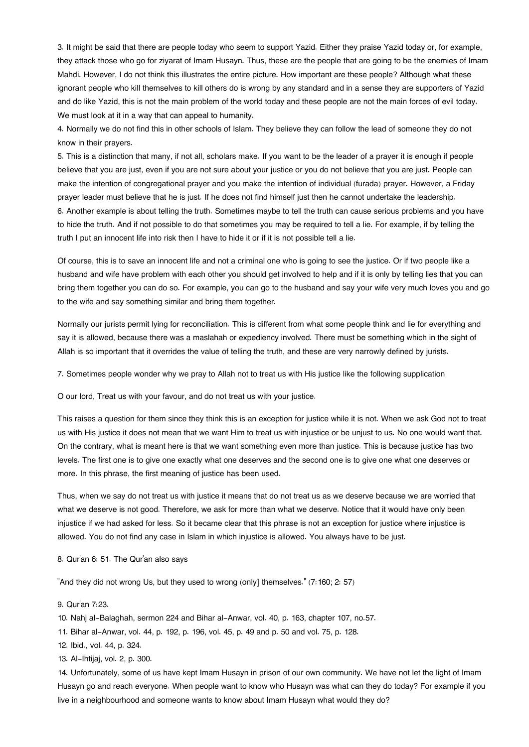[3.](#page-1-4) It might be said that there are people today who seem to support Yazid. Either they praise Yazid today or, for example, they attack those who go for ziyarat of Imam Husayn. Thus, these are the people that are going to be the enemies of Imam Mahdi. However, I do not think this illustrates the entire picture. How important are these people? Although what these ignorant people who kill themselves to kill others do is wrong by any standard and in a sense they are supporters of Yazid and do like Yazid, this is not the main problem of the world today and these people are not the main forces of evil today. We must look at it in a way that can appeal to humanity.

<span id="page-7-0"></span>[4.](#page-2-1) Normally we do not find this in other schools of Islam. They believe they can follow the lead of someone they do not know in their prayers.

<span id="page-7-2"></span><span id="page-7-1"></span>[5.](#page-2-1) This is a distinction that many, if not all, scholars make. If you want to be the leader of a prayer it is enough if people believe that you are just, even if you are not sure about your justice or you do not believe that you are just. People can make the intention of congregational prayer and you make the intention of individual (furada) prayer. However, a Friday prayer leader must believe that he is just. If he does not find himself just then he cannot undertake the leadership. [6.](#page-2-2) Another example is about telling the truth. Sometimes maybe to tell the truth can cause serious problems and you have to hide the truth. And if not possible to do that sometimes you may be required to tell a lie. For example, if by telling the truth I put an innocent life into risk then I have to hide it or if it is not possible tell a lie.

Of course, this is to save an innocent life and not a criminal one who is going to see the justice. Or if two people like a husband and wife have problem with each other you should get involved to help and if it is only by telling lies that you can bring them together you can do so. For example, you can go to the husband and say your wife very much loves you and go to the wife and say something similar and bring them together.

Normally our jurists permit lying for reconciliation. This is different from what some people think and lie for everything and say it is allowed, because there was a maslahah or expediency involved. There must be something which in the sight of Allah is so important that it overrides the value of telling the truth, and these are very narrowly defined by jurists.

<span id="page-7-3"></span>[7.](#page-2-3) Sometimes people wonder why we pray to Allah not to treat us with His justice like the following supplication

O our lord, Treat us with your favour, and do not treat us with your justice.

This raises a question for them since they think this is an exception for justice while it is not. When we ask God not to treat us with His justice it does not mean that we want Him to treat us with injustice or be unjust to us. No one would want that. On the contrary, what is meant here is that we want something even more than justice. This is because justice has two levels. The first one is to give one exactly what one deserves and the second one is to give one what one deserves or more. In this phrase, the first meaning of justice has been used.

Thus, when we say do not treat us with justice it means that do not treat us as we deserve because we are worried that what we deserve is not good. Therefore, we ask for more than what we deserve. Notice that it would have only been injustice if we had asked for less. So it became clear that this phrase is not an exception for justice where injustice is allowed. You do not find any case in Islam in which injustice is allowed. You always have to be just.

<span id="page-7-4"></span>[8.](#page-2-4) Qur'an 6: 51. The Qur'an also says

"And they did not wrong Us, but they used to wrong (only] themselves." (7:160; 2: 57)

#### <span id="page-7-6"></span><span id="page-7-5"></span>[9.](#page-2-5) Qur'an 7:23.

[10.](#page-3-1) Nahj al-Balaghah, sermon 224 and Bihar al-Anwar, vol. 40, p. 163, chapter 107, no.57.

- <span id="page-7-7"></span>[11.](#page-4-2) Bihar al-Anwar, vol. 44, p. 192, p. 196, vol. 45, p. 49 and p. 50 and vol. 75, p. 128.
- <span id="page-7-8"></span>[12.](#page-4-3) Ibid., vol. 44, p. 324.

<span id="page-7-9"></span>[13.](#page-4-4) Al-Ihtijaj, vol. 2, p. 300.

<span id="page-7-10"></span>[14.](#page-5-1) Unfortunately, some of us have kept Imam Husayn in prison of our own community. We have not let the light of Imam Husayn go and reach everyone. When people want to know who Husayn was what can they do today? For example if you live in a neighbourhood and someone wants to know about Imam Husayn what would they do?